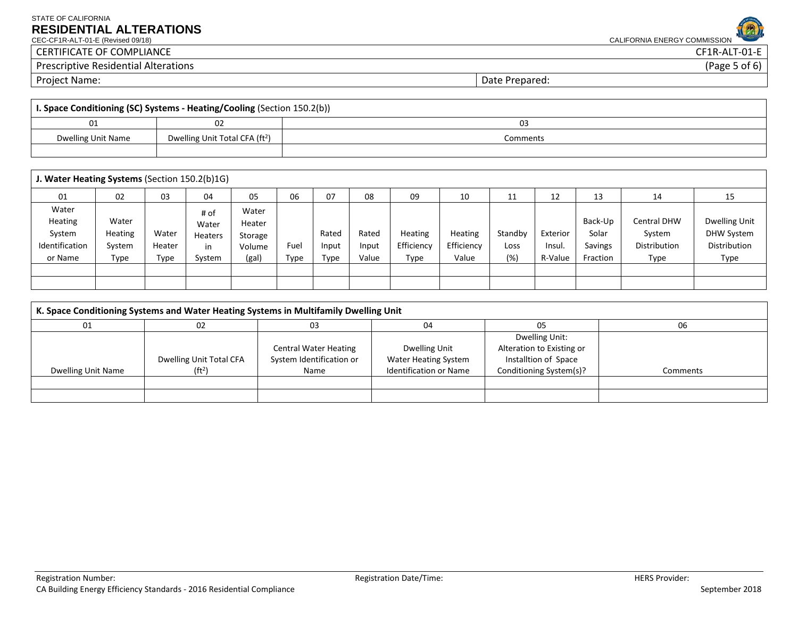## STATE OF CALIFORNIA **RESIDENTIAL ALTERATIONS**<br>CEC-CF1R-ALT-01-E (Revised 09/18)

CALIFORNIA ENERGY COMMISSION

CERTIFICATE OF COMPLIANCE CERTIFICATE OF COMPLIANCE CERTIFICATE OF COMPLIANCE CERTIFICATE OF COMPLIANCE CERTIF<br>Prescriptive Residential Alterations (Page 5 of 6) Prescriptive Residential Alterations

Project Name: 2008 and 2008 and 2008 and 2008 and 2008 and 2008 and 2008 and 2008 and 2008 and 2008 and 2008 and 2008 and 2008 and 2008 and 2008 and 2008 and 2008 and 2008 and 2008 and 2008 and 2008 and 2008 and 2008 and 2

| I. Space Conditioning (SC) Systems - Heating/Cooling (Section 150.2(b)) |                                            |          |  |  |  |  |
|-------------------------------------------------------------------------|--------------------------------------------|----------|--|--|--|--|
| 01                                                                      |                                            | U3       |  |  |  |  |
| Dwelling Unit Name                                                      | Dwelling Unit Total CFA (ft <sup>2</sup> ) | Comments |  |  |  |  |
|                                                                         |                                            |          |  |  |  |  |

|                                                         | J. Water Heating Systems (Section 150.2(b)1G) |                         |                                          |                                               |              |                        |                         |                               |                                       |                        |                               |                                         |                                                      |                                                            |
|---------------------------------------------------------|-----------------------------------------------|-------------------------|------------------------------------------|-----------------------------------------------|--------------|------------------------|-------------------------|-------------------------------|---------------------------------------|------------------------|-------------------------------|-----------------------------------------|------------------------------------------------------|------------------------------------------------------------|
| 01                                                      | 02                                            | 03                      | 04                                       | 05                                            | 06           | 07                     | 08                      | 09                            | 10                                    | 11                     | 12                            | 13                                      | 14                                                   | 15                                                         |
| Water<br>Heating<br>System<br>Identification<br>or Name | Water<br>Heating<br>System<br>Type            | Water<br>Heater<br>Type | # of<br>Water<br>Heaters<br>in<br>System | Water<br>Heater<br>Storage<br>Volume<br>(gal) | Fuel<br>Type | Rated<br>Input<br>Type | Rated<br>Input<br>Value | Heating<br>Efficiency<br>Type | <b>Heating</b><br>Efficiency<br>Value | Standby<br>Loss<br>(%) | Exterior<br>Insul.<br>R-Value | Back-Up<br>Solar<br>Savings<br>Fraction | <b>Central DHW</b><br>System<br>Distribution<br>Type | Dwelling Unit<br><b>DHW System</b><br>Distribution<br>Type |
|                                                         |                                               |                         |                                          |                                               |              |                        |                         |                               |                                       |                        |                               |                                         |                                                      |                                                            |
|                                                         |                                               |                         |                                          |                                               |              |                        |                         |                               |                                       |                        |                               |                                         |                                                      |                                                            |

| K. Space Conditioning Systems and Water Heating Systems in Multifamily Dwelling Unit |                         |                              |                               |                           |          |  |
|--------------------------------------------------------------------------------------|-------------------------|------------------------------|-------------------------------|---------------------------|----------|--|
|                                                                                      | 02                      | 03                           | 04                            | 05                        | 06       |  |
|                                                                                      |                         |                              |                               | Dwelling Unit:            |          |  |
|                                                                                      |                         | <b>Central Water Heating</b> | Dwelling Unit                 | Alteration to Existing or |          |  |
|                                                                                      | Dwelling Unit Total CFA | System Identification or     | <b>Water Heating System</b>   | Installtion of Space      |          |  |
| Dwelling Unit Name                                                                   | (ft <sup>2</sup> )      | Name                         | <b>Identification or Name</b> | Conditioning System(s)?   | Comments |  |
|                                                                                      |                         |                              |                               |                           |          |  |
|                                                                                      |                         |                              |                               |                           |          |  |